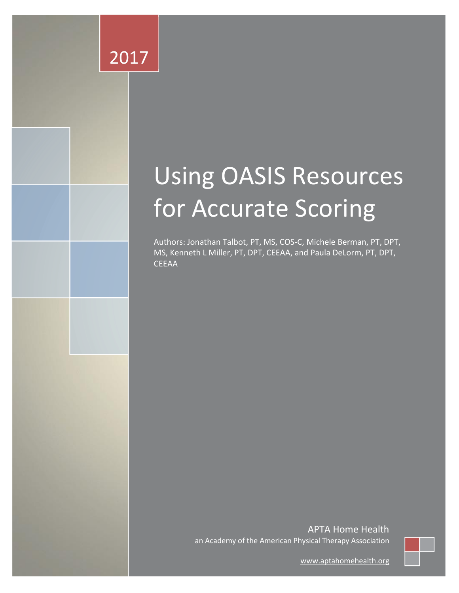# 2017

# Using OASIS Resources for Accurate Scoring

Authors: Jonathan Talbot, PT, MS, COS‐C, Michele Berman, PT, DPT, MS, Kenneth L Miller, PT, DPT, CEEAA, and Paula DeLorm, PT, DPT, **CEEAA** 

> APTA Home Health an Academy of the American Physical Therapy Association



[www.aptahomehealth.org](http://www.aptahomehealth.org/)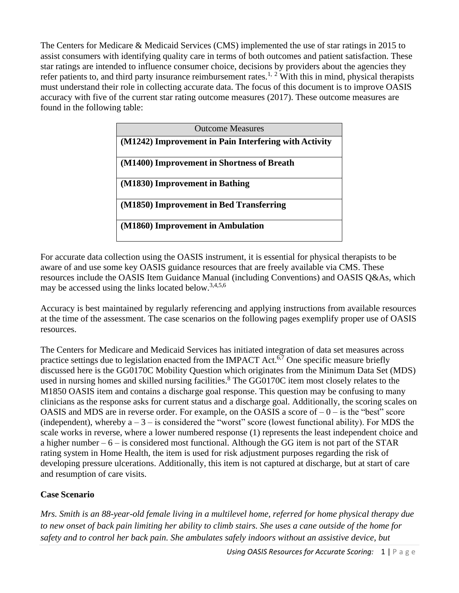The Centers for Medicare & Medicaid Services (CMS) implemented the use of star ratings in 2015 to assist consumers with identifying quality care in terms of both outcomes and patient satisfaction. These star ratings are intended to influence consumer choice, decisions by providers about the agencies they refer patients to, and third party insurance reimbursement rates.<sup>1, 2</sup> With this in mind, physical therapists must understand their role in collecting accurate data. The focus of this document is to improve OASIS accuracy with five of the current star rating outcome measures (2017). These outcome measures are found in the following table:

| <b>Outcome Measures</b>                               |  |  |
|-------------------------------------------------------|--|--|
| (M1242) Improvement in Pain Interfering with Activity |  |  |
| (M1400) Improvement in Shortness of Breath            |  |  |
| (M1830) Improvement in Bathing                        |  |  |
| (M1850) Improvement in Bed Transferring               |  |  |
| (M1860) Improvement in Ambulation                     |  |  |

For accurate data collection using the OASIS instrument, it is essential for physical therapists to be aware of and use some key OASIS guidance resources that are freely available via CMS. These resources include the OASIS Item Guidance Manual (including Conventions) and OASIS Q&As, which may be accessed using the links located below.<sup>3,4,5,6</sup>

Accuracy is best maintained by regularly referencing and applying instructions from available resources at the time of the assessment. The case scenarios on the following pages exemplify proper use of OASIS resources.

The Centers for Medicare and Medicaid Services has initiated integration of data set measures across practice settings due to legislation enacted from the IMPACT Act. $6\frac{7}{7}$  One specific measure briefly discussed here is the GG0170C Mobility Question which originates from the Minimum Data Set (MDS) used in nursing homes and skilled nursing facilities.<sup>8</sup> The GG0170C item most closely relates to the M1850 OASIS item and contains a discharge goal response. This question may be confusing to many clinicians as the response asks for current status and a discharge goal. Additionally, the scoring scales on OASIS and MDS are in reverse order. For example, on the OASIS a score of  $-0$  – is the "best" score (independent), whereby  $a - 3 - i s$  considered the "worst" score (lowest functional ability). For MDS the scale works in reverse, where a lower numbered response (1) represents the least independent choice and a higher number  $-6$  – is considered most functional. Although the GG item is not part of the STAR rating system in Home Health, the item is used for risk adjustment purposes regarding the risk of developing pressure ulcerations. Additionally, this item is not captured at discharge, but at start of care and resumption of care visits.

### **Case Scenario**

*Mrs. Smith is an 88-year-old female living in a multilevel home, referred for home physical therapy due to new onset of back pain limiting her ability to climb stairs. She uses a cane outside of the home for safety and to control her back pain. She ambulates safely indoors without an assistive device, but*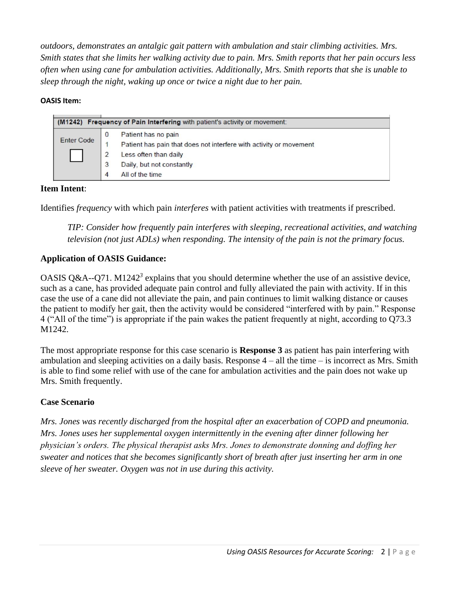*outdoors, demonstrates an antalgic gait pattern with ambulation and stair climbing activities. Mrs. Smith states that she limits her walking activity due to pain. Mrs. Smith reports that her pain occurs less often when using cane for ambulation activities. Additionally, Mrs. Smith reports that she is unable to sleep through the night, waking up once or twice a night due to her pain.*

#### **OASIS Item:**

| (M1242) Frequency of Pain Interfering with patient's activity or movement: |                                                                                           |  |
|----------------------------------------------------------------------------|-------------------------------------------------------------------------------------------|--|
| Enter Code                                                                 | Patient has no pain<br>Patient has pain that does not interfere with activity or movement |  |
|                                                                            | Less often than daily<br>Daily, but not constantly<br>All of the time                     |  |

#### **Item Intent**:

Identifies *frequency* with which pain *interferes* with patient activities with treatments if prescribed.

*TIP: Consider how frequently pain interferes with sleeping, recreational activities, and watching television (not just ADLs) when responding. The intensity of the pain is not the primary focus.*

#### **Application of OASIS Guidance:**

OASIS Q&A--Q71. M1242<sup>3</sup> explains that you should determine whether the use of an assistive device, such as a cane, has provided adequate pain control and fully alleviated the pain with activity. If in this case the use of a cane did not alleviate the pain, and pain continues to limit walking distance or causes the patient to modify her gait, then the activity would be considered "interfered with by pain." Response 4 ("All of the time") is appropriate if the pain wakes the patient frequently at night, according to Q73.3 M1242.

The most appropriate response for this case scenario is **Response 3** as patient has pain interfering with ambulation and sleeping activities on a daily basis. Response  $4 - 1$ l the time – is incorrect as Mrs. Smith is able to find some relief with use of the cane for ambulation activities and the pain does not wake up Mrs. Smith frequently.

#### **Case Scenario**

*Mrs. Jones was recently discharged from the hospital after an exacerbation of COPD and pneumonia. Mrs. Jones uses her supplemental oxygen intermittently in the evening after dinner following her physician's orders. The physical therapist asks Mrs. Jones to demonstrate donning and doffing her sweater and notices that she becomes significantly short of breath after just inserting her arm in one sleeve of her sweater. Oxygen was not in use during this activity.*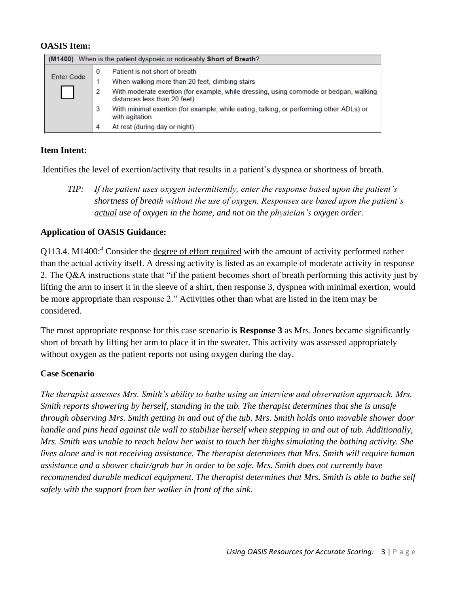#### **OASIS Item:**

| When is the patient dyspneic or noticeably Short of Breath?<br>(M1400) |                                                                                                                       |  |  |
|------------------------------------------------------------------------|-----------------------------------------------------------------------------------------------------------------------|--|--|
| <b>Enter Code</b>                                                      | Patient is not short of breath<br>$\bf{0}$                                                                            |  |  |
|                                                                        | When walking more than 20 feet, climbing stairs                                                                       |  |  |
|                                                                        | With moderate exertion (for example, while dressing, using commode or bedpan, walking<br>distances less than 20 feet) |  |  |
|                                                                        | With minimal exertion (for example, while eating, talking, or performing other ADLs) or<br>3<br>with agitation        |  |  |
|                                                                        | At rest (during day or night)<br>4                                                                                    |  |  |

#### **Item Intent:**

Identifies the level of exertion/activity that results in a patient's dyspnea or shortness of breath.

*TIP: If the patient uses oxygen intermittently, enter the response based upon the patient's shortness of breath without the use of oxygen. Responses are based upon the patient's actual use of oxygen in the home, and not on the physician's oxygen order.*

#### **Application of OASIS Guidance:**

Q113.4. M1400:*<sup>4</sup>* Consider the degree of effort required with the amount of activity performed rather than the actual activity itself. A dressing activity is listed as an example of moderate activity in response 2. The Q&A instructions state that "if the patient becomes short of breath performing this activity just by lifting the arm to insert it in the sleeve of a shirt, then response 3, dyspnea with minimal exertion, would be more appropriate than response 2." Activities other than what are listed in the item may be considered.

The most appropriate response for this case scenario is **Response 3** as Mrs. Jones became significantly short of breath by lifting her arm to place it in the sweater. This activity was assessed appropriately without oxygen as the patient reports not using oxygen during the day.

#### **Case Scenario**

*The therapist assesses Mrs. Smith's ability to bathe using an interview and observation approach. Mrs. Smith reports showering by herself, standing in the tub. The therapist determines that she is unsafe through observing Mrs. Smith getting in and out of the tub. Mrs. Smith holds onto movable shower door handle and pins head against tile wall to stabilize herself when stepping in and out of tub. Additionally, Mrs. Smith was unable to reach below her waist to touch her thighs simulating the bathing activity. She lives alone and is not receiving assistance. The therapist determines that Mrs. Smith will require human assistance and a shower chair/grab bar in order to be safe. Mrs. Smith does not currently have recommended durable medical equipment. The therapist determines that Mrs. Smith is able to bathe self safely with the support from her walker in front of the sink.*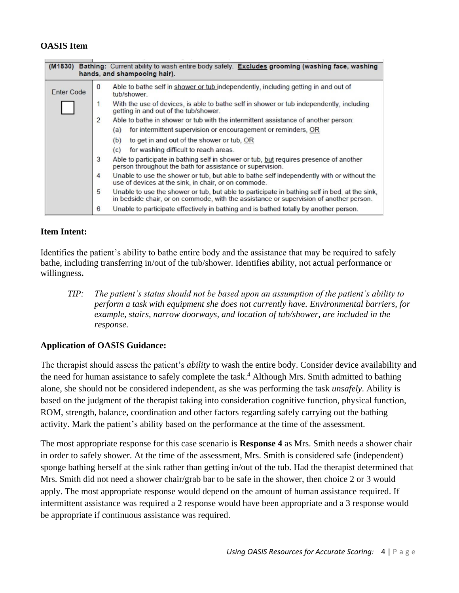#### **OASIS Item**

| Bathing: Current ability to wash entire body safely. Excludes grooming (washing face, washing<br>(M1830)<br>hands, and shampooing hair). |                                                                                                                                                                                              |  |  |  |
|------------------------------------------------------------------------------------------------------------------------------------------|----------------------------------------------------------------------------------------------------------------------------------------------------------------------------------------------|--|--|--|
| <b>Enter Code</b>                                                                                                                        | Able to bathe self in shower or tub independently, including getting in and out of<br>$\Omega$<br>tub/shower.                                                                                |  |  |  |
|                                                                                                                                          | With the use of devices, is able to bathe self in shower or tub independently, including<br>getting in and out of the tub/shower.                                                            |  |  |  |
|                                                                                                                                          | 2<br>Able to bathe in shower or tub with the intermittent assistance of another person:                                                                                                      |  |  |  |
|                                                                                                                                          | for intermittent supervision or encouragement or reminders, OR<br>(a)                                                                                                                        |  |  |  |
|                                                                                                                                          | to get in and out of the shower or tub. OR<br>(b)                                                                                                                                            |  |  |  |
|                                                                                                                                          | for washing difficult to reach areas.<br>(c)                                                                                                                                                 |  |  |  |
|                                                                                                                                          | 3<br>Able to participate in bathing self in shower or tub, but requires presence of another<br>person throughout the bath for assistance or supervision.                                     |  |  |  |
|                                                                                                                                          | 4<br>Unable to use the shower or tub, but able to bathe self independently with or without the<br>use of devices at the sink, in chair, or on commode.                                       |  |  |  |
|                                                                                                                                          | 5<br>Unable to use the shower or tub, but able to participate in bathing self in bed, at the sink,<br>in bedside chair, or on commode, with the assistance or supervision of another person. |  |  |  |
|                                                                                                                                          | 6<br>Unable to participate effectively in bathing and is bathed totally by another person.                                                                                                   |  |  |  |

#### **Item Intent:**

Identifies the patient's ability to bathe entire body and the assistance that may be required to safely bathe, including transferring in/out of the tub/shower. Identifies ability, not actual performance or willingness**.**

*TIP: The patient's status should not be based upon an assumption of the patient's ability to perform a task with equipment she does not currently have. Environmental barriers, for example, stairs, narrow doorways, and location of tub/shower, are included in the response.*

#### **Application of OASIS Guidance:**

The therapist should assess the patient's *ability* to wash the entire body. Consider device availability and the need for human assistance to safely complete the task.<sup>4</sup> Although Mrs. Smith admitted to bathing alone, she should not be considered independent, as she was performing the task *unsafely*. Ability is based on the judgment of the therapist taking into consideration cognitive function, physical function, ROM, strength, balance, coordination and other factors regarding safely carrying out the bathing activity. Mark the patient's ability based on the performance at the time of the assessment.

The most appropriate response for this case scenario is **Response 4** as Mrs. Smith needs a shower chair in order to safely shower. At the time of the assessment, Mrs. Smith is considered safe (independent) sponge bathing herself at the sink rather than getting in/out of the tub. Had the therapist determined that Mrs. Smith did not need a shower chair/grab bar to be safe in the shower, then choice 2 or 3 would apply. The most appropriate response would depend on the amount of human assistance required. If intermittent assistance was required a 2 response would have been appropriate and a 3 response would be appropriate if continuous assistance was required.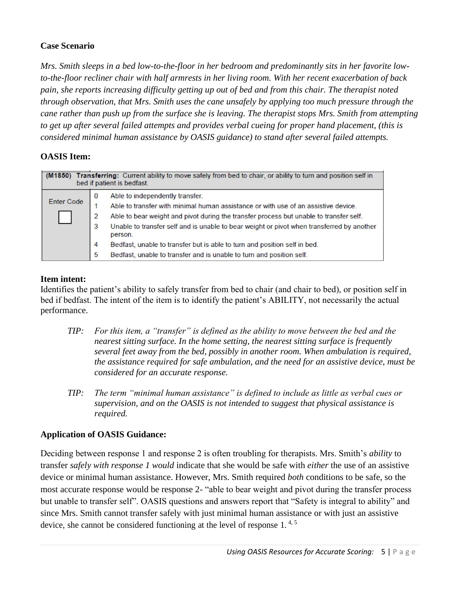#### **Case Scenario**

*Mrs. Smith sleeps in a bed low-to-the-floor in her bedroom and predominantly sits in her favorite lowto-the-floor recliner chair with half armrests in her living room. With her recent exacerbation of back pain, she reports increasing difficulty getting up out of bed and from this chair. The therapist noted through observation, that Mrs. Smith uses the cane unsafely by applying too much pressure through the cane rather than push up from the surface she is leaving. The therapist stops Mrs. Smith from attempting to get up after several failed attempts and provides verbal cueing for proper hand placement, (this is considered minimal human assistance by OASIS guidance) to stand after several failed attempts.*

#### **OASIS Item:**

| Transferring: Current ability to move safely from bed to chair, or ability to turn and position self in<br>(M1850)<br>bed if patient is bedfast. |                                                                                                           |  |
|--------------------------------------------------------------------------------------------------------------------------------------------------|-----------------------------------------------------------------------------------------------------------|--|
|                                                                                                                                                  | Able to independently transfer.<br>$\bf{0}$                                                               |  |
| <b>Enter Code</b>                                                                                                                                | Able to transfer with minimal human assistance or with use of an assistive device.                        |  |
| Able to bear weight and pivot during the transfer process but unable to transfer self.<br>2                                                      |                                                                                                           |  |
|                                                                                                                                                  | Unable to transfer self and is unable to bear weight or pivot when transferred by another<br>3<br>person. |  |
|                                                                                                                                                  | Bedfast, unable to transfer but is able to turn and position self in bed.<br>4                            |  |
|                                                                                                                                                  | Bedfast, unable to transfer and is unable to turn and position self.<br>5                                 |  |

#### **Item intent:**

Identifies the patient's ability to safely transfer from bed to chair (and chair to bed), or position self in bed if bedfast. The intent of the item is to identify the patient's ABILITY, not necessarily the actual performance.

- *TIP: For this item, a "transfer" is defined as the ability to move between the bed and the nearest sitting surface. In the home setting, the nearest sitting surface is frequently several feet away from the bed, possibly in another room. When ambulation is required, the assistance required for safe ambulation, and the need for an assistive device, must be considered for an accurate response.*
- *TIP: The term "minimal human assistance" is defined to include as little as verbal cues or supervision, and on the OASIS is not intended to suggest that physical assistance is required.*

#### **Application of OASIS Guidance:**

Deciding between response 1 and response 2 is often troubling for therapists. Mrs. Smith's *ability* to transfer *safely with response 1 would* indicate that she would be safe with *either* the use of an assistive device or minimal human assistance. However, Mrs. Smith required *both* conditions to be safe, so the most accurate response would be response 2- "able to bear weight and pivot during the transfer process but unable to transfer self". OASIS questions and answers report that "Safety is integral to ability" and since Mrs. Smith cannot transfer safely with just minimal human assistance or with just an assistive device, she cannot be considered functioning at the level of response 1. 4, <sup>5</sup>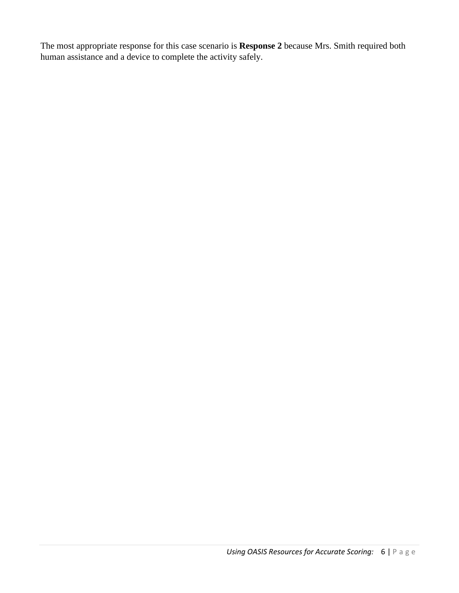The most appropriate response for this case scenario is **Response 2** because Mrs. Smith required both human assistance and a device to complete the activity safely.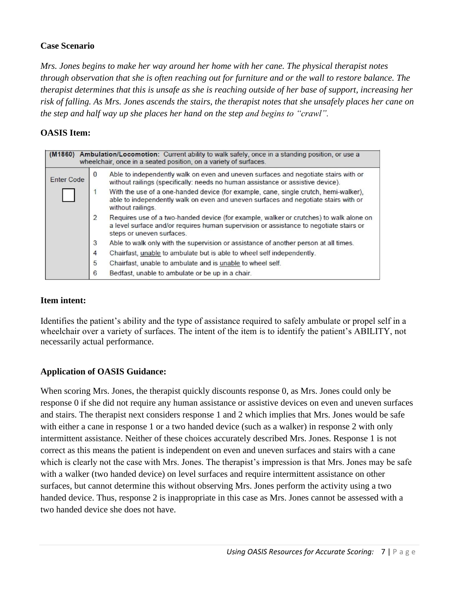#### **Case Scenario**

*Mrs. Jones begins to make her way around her home with her cane. The physical therapist notes through observation that she is often reaching out for furniture and or the wall to restore balance. The therapist determines that this is unsafe as she is reaching outside of her base of support, increasing her risk of falling. As Mrs. Jones ascends the stairs, the therapist notes that she unsafely places her cane on the step and half way up she places her hand on the step and begins to "crawl".*

#### **OASIS Item:**

| (M1860) Ambulation/Locomotion: Current ability to walk safely, once in a standing position, or use a<br>wheelchair, once in a seated position, on a variety of surfaces. |   |                                                                                                                                                                                                               |  |
|--------------------------------------------------------------------------------------------------------------------------------------------------------------------------|---|---------------------------------------------------------------------------------------------------------------------------------------------------------------------------------------------------------------|--|
| <b>Enter Code</b>                                                                                                                                                        | 0 | Able to independently walk on even and uneven surfaces and negotiate stairs with or<br>without railings (specifically: needs no human assistance or assistive device).                                        |  |
|                                                                                                                                                                          |   | With the use of a one-handed device (for example, cane, single crutch, hemi-walker),<br>able to independently walk on even and uneven surfaces and negotiate stairs with or<br>without railings.              |  |
|                                                                                                                                                                          | 2 | Requires use of a two-handed device (for example, walker or crutches) to walk alone on<br>a level surface and/or requires human supervision or assistance to negotiate stairs or<br>steps or uneven surfaces. |  |
|                                                                                                                                                                          | 3 | Able to walk only with the supervision or assistance of another person at all times.                                                                                                                          |  |
|                                                                                                                                                                          | 4 | Chairfast, unable to ambulate but is able to wheel self independently.                                                                                                                                        |  |
|                                                                                                                                                                          | 5 | Chairfast, unable to ambulate and is unable to wheel self.                                                                                                                                                    |  |
|                                                                                                                                                                          | 6 | Bedfast, unable to ambulate or be up in a chair.                                                                                                                                                              |  |

#### **Item intent:**

Identifies the patient's ability and the type of assistance required to safely ambulate or propel self in a wheelchair over a variety of surfaces. The intent of the item is to identify the patient's ABILITY, not necessarily actual performance.

#### **Application of OASIS Guidance:**

When scoring Mrs. Jones, the therapist quickly discounts response 0, as Mrs. Jones could only be response 0 if she did not require any human assistance or assistive devices on even and uneven surfaces and stairs. The therapist next considers response 1 and 2 which implies that Mrs. Jones would be safe with either a cane in response 1 or a two handed device (such as a walker) in response 2 with only intermittent assistance. Neither of these choices accurately described Mrs. Jones. Response 1 is not correct as this means the patient is independent on even and uneven surfaces and stairs with a cane which is clearly not the case with Mrs. Jones. The therapist's impression is that Mrs. Jones may be safe with a walker (two handed device) on level surfaces and require intermittent assistance on other surfaces, but cannot determine this without observing Mrs. Jones perform the activity using a two handed device. Thus, response 2 is inappropriate in this case as Mrs. Jones cannot be assessed with a two handed device she does not have.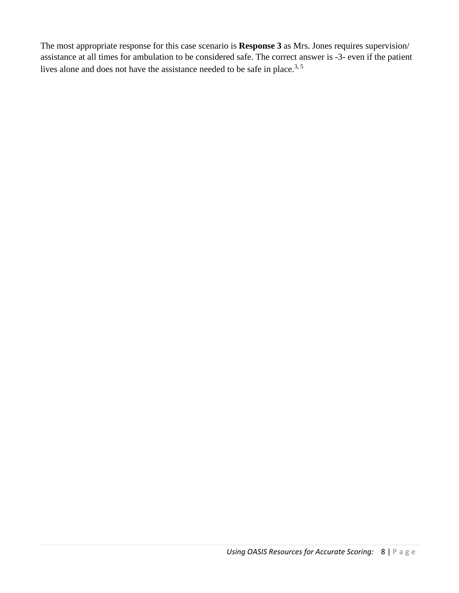The most appropriate response for this case scenario is **Response 3** as Mrs. Jones requires supervision/ assistance at all times for ambulation to be considered safe. The correct answer is -3- even if the patient lives alone and does not have the assistance needed to be safe in place.<sup>3, 5</sup>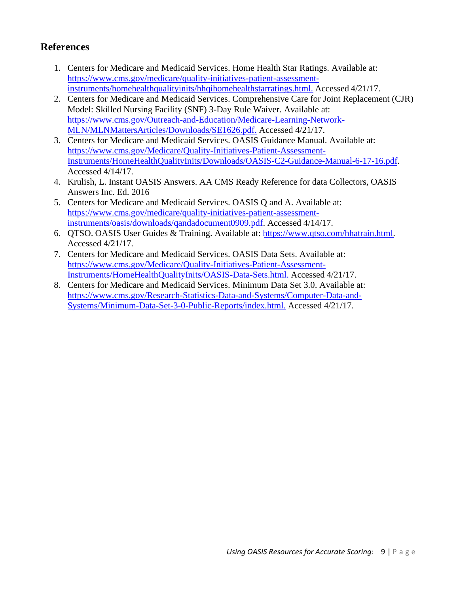# **References**

- 1. Centers for Medicare and Medicaid Services. Home Health Star Ratings. Available at: [https://www.cms](http://www.cms.gov/medicare/quality-initiatives-patient-assessment-).gov/m[edicare/quality-initiatives-patient-assessment](http://www.cms.gov/medicare/quality-initiatives-patient-assessment-)instruments/homehealthqualityinits/hhqihomehealthstarratings.html. Accessed 4/21/17.
- 2. Centers for Medicare and Medicaid Services. Comprehensive Care for Joint Replacement (CJR) Model: Skilled Nursing Facility (SNF) 3-Day Rule Waiver. Available at: [https://www.cms](http://www.cms.gov/Outreach-and-Education/Medicare-Learning-Network-).gov/O[utreach-and-Education/Medicare-Learning-Network-](http://www.cms.gov/Outreach-and-Education/Medicare-Learning-Network-)MLN/MLNMattersArticles/Downloads/SE1626.pdf. Accessed 4/21/17.
- 3. Centers for Medicare and Medicaid Services. OASIS Guidance Manual. Available at: [https://www.cms](http://www.cms.gov/Medicare/Quality-Initiatives-Patient-Assessment-).gov/M[edicare/Quality-Initiatives-Patient-Assessment-](http://www.cms.gov/Medicare/Quality-Initiatives-Patient-Assessment-)Instruments/HomeHealthQualityInits/Downloads/OASIS-C2-Guidance-Manual-6-17-16.pdf. Accessed 4/14/17.
- 4. Krulish, L. Instant OASIS Answers. AA CMS Ready Reference for data Collectors, OASIS Answers Inc. Ed. 2016
- 5. Centers for Medicare and Medicaid Services. OASIS Q and A. Available at: [https://www.cms](http://www.cms.gov/medicare/quality-initiatives-patient-assessment-).gov/m[edicare/quality-initiatives-patient-assessment](http://www.cms.gov/medicare/quality-initiatives-patient-assessment-)instruments/oasis/downloads/qandadocument0909.pdf. Accessed 4/14/17.
- 6. QTSO. OASIS User Guides & Training. Available at: [https://www.qtso.com/hhatrain.html](http://www.qtso.com/hhatrain.html). Accessed 4/21/17.
- 7. Centers for Medicare and Medicaid Services. OASIS Data Sets. Available at: [https://www.cms](http://www.cms.gov/Medicare/Quality-Initiatives-Patient-Assessment-).gov/M[edicare/Quality-Initiatives-Patient-Assessment-](http://www.cms.gov/Medicare/Quality-Initiatives-Patient-Assessment-)Instruments/HomeHealthQualityInits/OASIS-Data-Sets.html. Accessed 4/21/17.
- 8. Centers for Medicare and Medicaid Services. Minimum Data Set 3.0. Available at: [https://www.cms](http://www.cms.gov/Research-Statistics-Data-and-Systems/Computer-Data-and-).gov/R[esearch-Statistics-Data-and-Systems/Computer-Data-and-](http://www.cms.gov/Research-Statistics-Data-and-Systems/Computer-Data-and-)Systems/Minimum-Data-Set-3-0-Public-Reports/index.html. Accessed 4/21/17.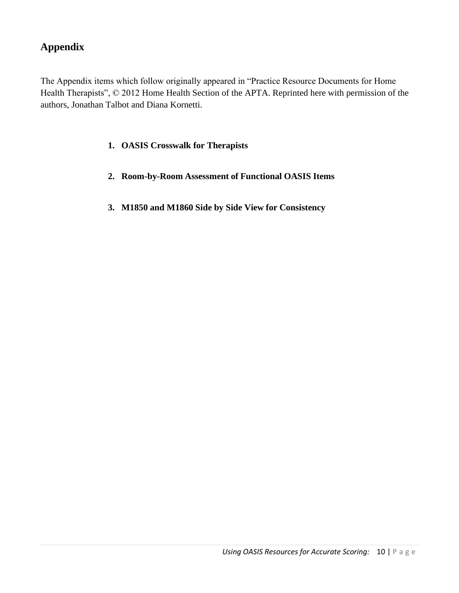# **Appendix**

The Appendix items which follow originally appeared in "Practice Resource Documents for Home Health Therapists", © 2012 Home Health Section of the APTA. Reprinted here with permission of the authors, Jonathan Talbot and Diana Kornetti.

#### **1. OASIS Crosswalk for Therapists**

- **2. Room-by-Room Assessment of Functional OASIS Items**
- **3. M1850 and M1860 Side by Side View for Consistency**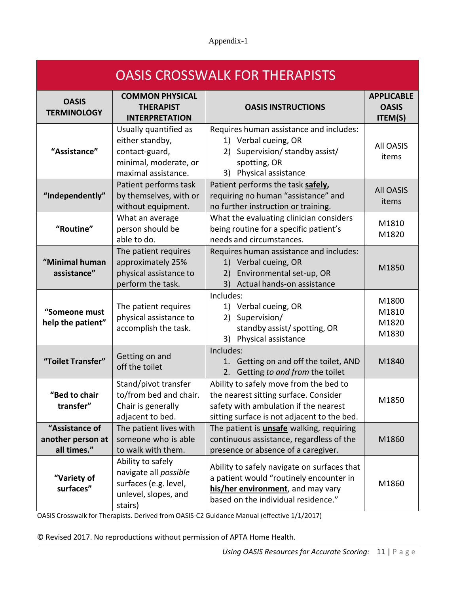#### Appendix-1

| <b>OASIS CROSSWALK FOR THERAPISTS</b>              |                                                                                                            |                                                                                                                                                                         |                                              |
|----------------------------------------------------|------------------------------------------------------------------------------------------------------------|-------------------------------------------------------------------------------------------------------------------------------------------------------------------------|----------------------------------------------|
| <b>OASIS</b><br><b>TERMINOLOGY</b>                 | <b>COMMON PHYSICAL</b><br><b>THERAPIST</b><br><b>INTERPRETATION</b>                                        | <b>OASIS INSTRUCTIONS</b>                                                                                                                                               | <b>APPLICABLE</b><br><b>OASIS</b><br>ITEM(S) |
| "Assistance"                                       | Usually quantified as<br>either standby,<br>contact-guard,<br>minimal, moderate, or<br>maximal assistance. | Requires human assistance and includes:<br>1) Verbal cueing, OR<br>Supervision/ standby assist/<br>2)<br>spotting, OR<br>3) Physical assistance                         | <b>All OASIS</b><br>items                    |
| "Independently"                                    | Patient performs task<br>by themselves, with or<br>without equipment.                                      | Patient performs the task safely,<br>requiring no human "assistance" and<br>no further instruction or training.                                                         | <b>All OASIS</b><br>items                    |
| "Routine"                                          | What an average<br>person should be<br>able to do.                                                         | What the evaluating clinician considers<br>being routine for a specific patient's<br>needs and circumstances.                                                           | M1810<br>M1820                               |
| "Minimal human<br>assistance"                      | The patient requires<br>approximately 25%<br>physical assistance to<br>perform the task.                   | Requires human assistance and includes:<br>1) Verbal cueing, OR<br>Environmental set-up, OR<br>2)<br>Actual hands-on assistance<br>3)                                   | M1850                                        |
| "Someone must<br>help the patient"                 | The patient requires<br>physical assistance to<br>accomplish the task.                                     | Includes:<br>1) Verbal cueing, OR<br>Supervision/<br>2)<br>standby assist/ spotting, OR<br>3) Physical assistance                                                       | M1800<br>M1810<br>M1820<br>M1830             |
| "Toilet Transfer"                                  | Getting on and<br>off the toilet                                                                           | Includes:<br>1. Getting on and off the toilet, AND<br>2. Getting to and from the toilet                                                                                 | M1840                                        |
| "Bed to chair<br>transfer"                         | Stand/pivot transfer<br>to/from bed and chair.<br>Chair is generally<br>adjacent to bed.                   | Ability to safely move from the bed to<br>the nearest sitting surface. Consider<br>safety with ambulation if the nearest<br>sitting surface is not adjacent to the bed. | M1850                                        |
| "Assistance of<br>another person at<br>all times." | The patient lives with<br>someone who is able<br>to walk with them.                                        | The patient is <b>unsafe</b> walking, requiring<br>continuous assistance, regardless of the<br>presence or absence of a caregiver.                                      | M1860                                        |
| "Variety of<br>surfaces"                           | Ability to safely<br>navigate all possible<br>surfaces (e.g. level,<br>unlevel, slopes, and<br>stairs)     | Ability to safely navigate on surfaces that<br>a patient would "routinely encounter in<br>his/her environment, and may vary<br>based on the individual residence."      | M1860                                        |

OASIS Crosswalk for Therapists. Derived from OASIS‐C2 Guidance Manual (effective 1/1/2017)

© Revised 2017. No reproductions without permission of APTA Home Health.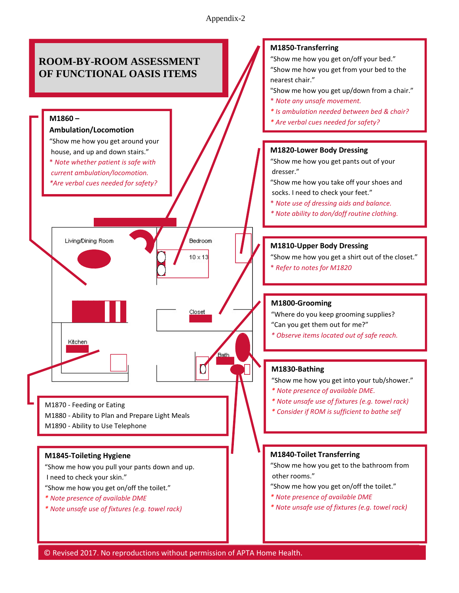#### Appendix-2



*Using OASIS Resources for Accurate Scoring:* 12 | P a g e © Revised 2017. No reproductions without permission of APTA Home Health.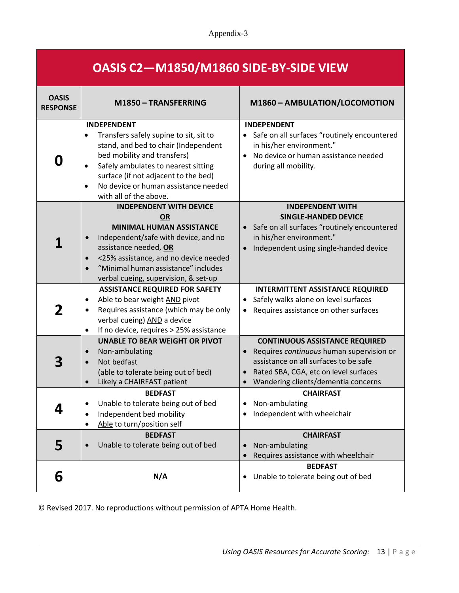#### Appendix-3

| OASIS C2-M1850/M1860 SIDE-BY-SIDE VIEW |
|----------------------------------------|
|----------------------------------------|

| <b>OASIS</b><br><b>RESPONSE</b> | M1850 - TRANSFERRING                                                                                                                                                                                                                                                                                                        | M1860 - AMBULATION/LOCOMOTION                                                                                                                                                                                           |  |
|---------------------------------|-----------------------------------------------------------------------------------------------------------------------------------------------------------------------------------------------------------------------------------------------------------------------------------------------------------------------------|-------------------------------------------------------------------------------------------------------------------------------------------------------------------------------------------------------------------------|--|
| O                               | <b>INDEPENDENT</b><br>Transfers safely supine to sit, sit to<br>$\bullet$<br>stand, and bed to chair (Independent<br>bed mobility and transfers)<br>Safely ambulates to nearest sitting<br>$\bullet$<br>surface (if not adjacent to the bed)<br>No device or human assistance needed<br>$\bullet$<br>with all of the above. | <b>INDEPENDENT</b><br>• Safe on all surfaces "routinely encountered<br>in his/her environment."<br>No device or human assistance needed<br>during all mobility.                                                         |  |
|                                 | <b>INDEPENDENT WITH DEVICE</b><br><b>OR</b><br><b>MINIMAL HUMAN ASSISTANCE</b><br>Independent/safe with device, and no<br>assistance needed, OR<br><25% assistance, and no device needed<br>$\bullet$<br>"Minimal human assistance" includes<br>verbal cueing, supervision, & set-up                                        | <b>INDEPENDENT WITH</b><br><b>SINGLE-HANDED DEVICE</b><br>Safe on all surfaces "routinely encountered<br>in his/her environment."<br>Independent using single-handed device                                             |  |
| 2                               | <b>ASSISTANCE REQUIRED FOR SAFETY</b><br>Able to bear weight AND pivot<br>٠<br>Requires assistance (which may be only<br>verbal cueing) AND a device<br>If no device, requires > 25% assistance<br>$\bullet$                                                                                                                | <b>INTERMITTENT ASSISTANCE REQUIRED</b><br>Safely walks alone on level surfaces<br>Requires assistance on other surfaces                                                                                                |  |
| 3                               | <b>UNABLE TO BEAR WEIGHT OR PIVOT</b><br>Non-ambulating<br>$\bullet$<br>Not bedfast<br>$\bullet$<br>(able to tolerate being out of bed)<br>Likely a CHAIRFAST patient<br>$\bullet$                                                                                                                                          | <b>CONTINUOUS ASSISTANCE REQUIRED</b><br>Requires continuous human supervision or<br>$\bullet$<br>assistance on all surfaces to be safe<br>Rated SBA, CGA, etc on level surfaces<br>Wandering clients/dementia concerns |  |
|                                 | <b>BEDFAST</b><br>Unable to tolerate being out of bed<br>Independent bed mobility<br>٠<br>Able to turn/position self                                                                                                                                                                                                        | <b>CHAIRFAST</b><br>Non-ambulating<br>Independent with wheelchair                                                                                                                                                       |  |
| 5                               | <b>BEDFAST</b><br>Unable to tolerate being out of bed<br>$\bullet$                                                                                                                                                                                                                                                          | <b>CHAIRFAST</b><br>Non-ambulating<br>Requires assistance with wheelchair                                                                                                                                               |  |
| 6                               | N/A                                                                                                                                                                                                                                                                                                                         | <b>BEDFAST</b><br>Unable to tolerate being out of bed<br>٠                                                                                                                                                              |  |

© Revised 2017. No reproductions without permission of APTA Home Health.